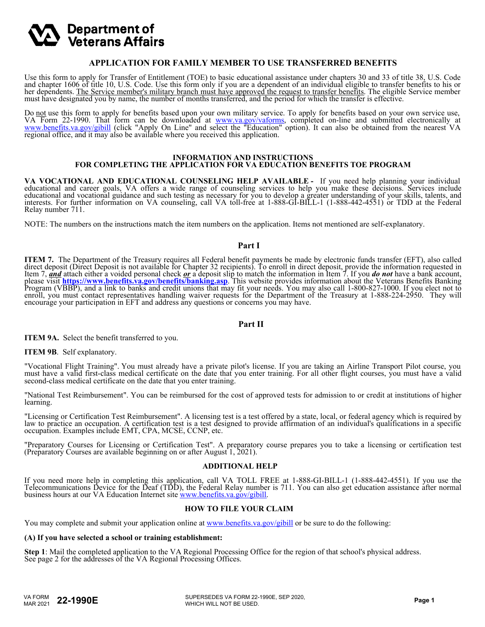

# **APPLICATION FOR FAMILY MEMBER TO USE TRANSFERRED BENEFITS**

Use this form to apply for Transfer of Entitlement (TOE) to basic educational assistance under chapters 30 and 33 of title 38, U.S. Code and chapter 1606 of title 10, U.S. Code. Use this form only if you are a dependent of an individual eligible to transfer benefits to his or her dependents. The Service member's military branch must have approved the request to transfer benefits. The eligible Service member must have designated you by name, the number of months transferred, and the period for which the transfer is effective.

Do not use this form to apply for benefits based upon your own military service. To apply for benefits based on your own service use, VA Form 22-1990. That form can be downloaded at www.va.gov/vaforms, completed on-line and submitted electronically at www.benefits.va.gov/gibill (click "Apply On Line" and select the "Education" option). It can also be obtained from the nearest VA regional office, and it may also be available where you received this application.

#### **INFORMATION AND INSTRUCTIONS FOR COMPLETING THE APPLICATION FOR VA EDUCATION BENEFITS TOE PROGRAM**

**VA VOCATIONAL AND EDUCATIONAL COUNSELING HELP AVAILABLE -** If you need help planning your individual educational and career goals, VA offers a wide range of counseling services to help you make these decisions. Services include educational and vocational guidance and such testing as necessary for you to develop a greater understanding of your skills, talents, and interests. For further information on VA counseling, call VA toll-free at 1-888-GI-BILL-1 (1-888-442-4551) or TDD at the Federal Relay number 711.

NOTE: The numbers on the instructions match the item numbers on the application. Items not mentioned are self-explanatory.

### **Part I**

**ITEM 7.** The Department of the Treasury requires all Federal benefit payments be made by electronic funds transfer (EFT), also called direct deposit (Direct Deposit is not available for Chapter 32 recipients). To enroll in direct deposit, provide the information requested in Item 7, *and* attach either a voided personal check *or* a deposit slip to match the information in Item 7. If you *do not* have a bank account, please visit **https://www.benefits.va.gov/benefits/banking.asp**. This website provides information about the Veterans Benefits Banking Program (VBBP), and a link to banks and credit unions that may fit your needs. You may also call 1-800-827-1000. If you elect not to enroll, you must contact representatives handling waiver requests for the Department of the Treasury at 1-888-224-2950. They will encourage your participation in EFT and address any questions or concerns you may have.

# **Part II**

**ITEM 9A.** Select the benefit transferred to you.

**ITEM 9B**. Self explanatory.

"Vocational Flight Training". You must already have a private pilot's license. If you are taking an Airline Transport Pilot course, you must have a valid first-class medical certificate on the date that you enter training. For all other flight courses, you must have a valid second-class medical certificate on the date that you enter training.

"National Test Reimbursement". You can be reimbursed for the cost of approved tests for admission to or credit at institutions of higher learning.

"Licensing or Certification Test Reimbursement". A licensing test is a test offered by a state, local, or federal agency which is required by law to practice an occupation. A certification test is a test designed to provide affirmation of an individual's qualifications in a specific occupation. Examples include EMT, CPA, MCSE, CCNP, etc.

"Preparatory Courses for Licensing or Certification Test". A preparatory course prepares you to take a licensing or certification test (Preparatory Courses are available beginning on or after August 1, 2021).

### **ADDITIONAL HELP**

If you need more help in completing this application, call VA TOLL FREE at 1-888-GI-BILL-1 (1-888-442-4551). If you use the Telecommunications Device for the Deaf (TDD), the Federal Relay number is 711. You can also get education assistance after normal business hours at our VA Education Internet site www.benefits.va.gov/gibill.

### **HOW TO FILE YOUR CLAIM**

You may complete and submit your application online at www.benefits.va.gov/gibill or be sure to do the following:

#### **(A) If you have selected a school or training establishment:**

**Step 1**: Mail the completed application to the VA Regional Processing Office for the region of that school's physical address. See page 2 for the addresses of the VA Regional Processing Offices.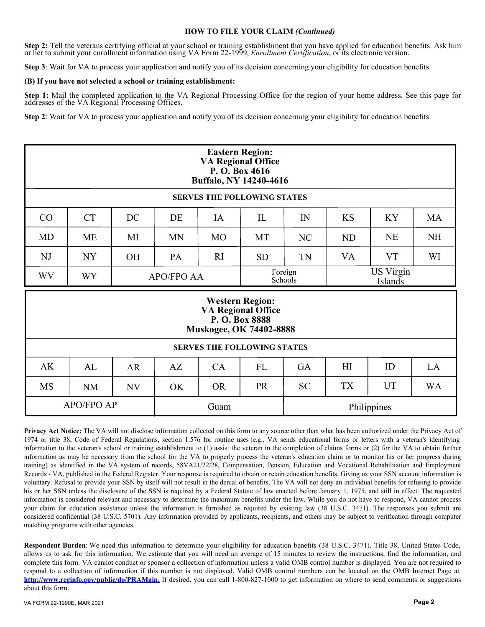# **HOW TO FILE YOUR CLAIM** *(Continued)*

**Step 2:** Tell the veterans certifying official at your school or training establishment that you have applied for education benefits. Ask him or her to submit your enrollment information using VA Form 22-1999, *Enrollment Certification*, or its electronic version.

**Step 3**: Wait for VA to process your application and notify you of its decision concerning your eligibility for education benefits.

## **(B) If you have not selected a school or training establishment:**

**Step 1:** Mail the completed application to the VA Regional Processing Office for the region of your home address. See this page for addresses of the VA Regional Processing Offices.

**Step 2**: Wait for VA to process your application and notify you of its decision concerning your eligibility for education benefits.

| <b>Eastern Region:</b><br><b>VA Regional Office</b><br>P. O. Box $4616$<br>Buffalo, NY 14240-4616 |                 |                   |           |           |                    |                |                             |           |           |  |
|---------------------------------------------------------------------------------------------------|-----------------|-------------------|-----------|-----------|--------------------|----------------|-----------------------------|-----------|-----------|--|
| <b>SERVES THE FOLLOWING STATES</b>                                                                |                 |                   |           |           |                    |                |                             |           |           |  |
| CO                                                                                                | <b>CT</b>       | DC                | DE        | IA        | IL                 | IN             | <b>KS</b>                   | KY        | <b>MA</b> |  |
| MD                                                                                                | ME              | MI                | <b>MN</b> | <b>MO</b> | MT                 | N <sub>C</sub> | <b>ND</b>                   | <b>NE</b> | <b>NH</b> |  |
| NJ                                                                                                | <b>NY</b>       | <b>OH</b>         | PA        | RI        | <b>SD</b>          | TN             | <b>VA</b>                   | VT        | WI        |  |
| WV                                                                                                | WY <sup>-</sup> | <b>APO/FPO AA</b> |           |           | Foreign<br>Schools |                | <b>US Virgin</b><br>Islands |           |           |  |

| <b>Western Region:</b><br><b>VA Regional Office</b><br>P. O. Box 8888<br>Muskogee, OK 74402-8888 |           |           |      |           |           |             |           |    |           |
|--------------------------------------------------------------------------------------------------|-----------|-----------|------|-----------|-----------|-------------|-----------|----|-----------|
| <b>SERVES THE FOLLOWING STATES</b>                                                               |           |           |      |           |           |             |           |    |           |
| AK                                                                                               | AL        | <b>AR</b> | AZ   | <b>CA</b> | <b>FL</b> | <b>GA</b>   | H I       | ID | LA        |
| <b>MS</b>                                                                                        | <b>NM</b> | <b>NV</b> | OK.  | <b>OR</b> | <b>PR</b> | <b>SC</b>   | <b>TX</b> | UT | <b>WA</b> |
| <b>APO/FPO AP</b>                                                                                |           |           | Guam |           |           | Philippines |           |    |           |

Privacy Act Notice: The VA will not disclose information collected on this form to any source other than what has been authorized under the Privacy Act of 1974 or title 38, Code of Federal Regulations, section 1.576 for routine uses (e.g., VA sends educational forms or letters with a veteran's identifying information to the veteran's school or training establishment to (1) assist the veteran in the completion of claims forms or (2) for the VA to obtain further information as may be necessary from the school for the VA to properly process the veteran's education claim or to monitor his or her progress during training) as identified in the VA system of records, 58VA21/22/28, Compensation, Pension, Education and Vocational Rehabilitation and Employment Records - VA, published in the Federal Register. Your response is required to obtain or retain education benefits. Giving us your SSN account information is voluntary. Refusal to provide your SSN by itself will not result in the denial of benefits. The VA will not deny an individual benefits for refusing to provide his or her SSN unless the disclosure of the SSN is required by a Federal Statute of law enacted before January 1, 1975, and still in effect. The requested information is considered relevant and necessary to determine the maximum benefits under the law. While you do not have to respond, VA cannot process your claim for education assistance unless the information is furnished as required by existing law (38 U.S.C. 3471). The responses you submit are considered confidential (38 U.S.C. 5701). Any information provided by applicants, recipients, and others may be subject to verification through computer matching programs with other agencies.

**Respondent Burden**: We need this information to determine your eligibility for education benefits (38 U.S.C. 3471). Title 38, United States Code, allows us to ask for this information. We estimate that you will need an average of 15 minutes to review the instructions, find the information, and complete this form. VA cannot conduct or sponsor a collection of information unless a valid OMB control number is displayed. You are not required to respond to a collection of information if this number is not displayed. Valid OMB control numbers can be located on the OMB Internet Page at **http://www.reginfo.gov/public/do/PRAMain**. If desired, you can call 1-800-827-1000 to get information on where to send comments or suggestions about this form.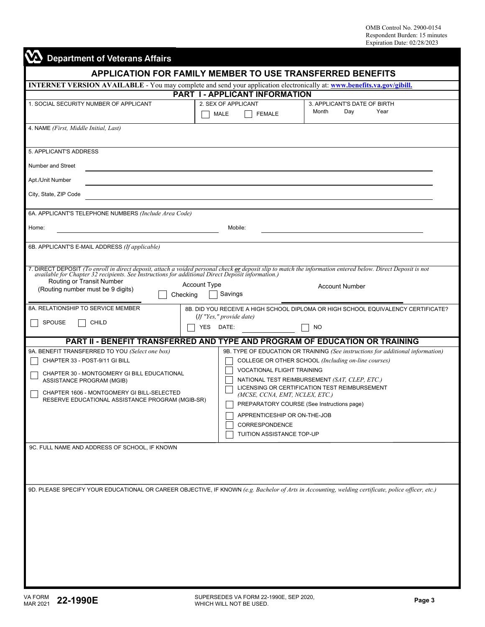| 8B. DID YOU RECEIVE A HIGH SCHOOL DIPLOMA OR HIGH SCHOOL EQUIVALENCY CERTIFICATE? |
|-----------------------------------------------------------------------------------|
|                                                                                   |
|                                                                                   |
| 9B. TYPE OF EDUCATION OR TRAINING (See instructions for additional information)   |
|                                                                                   |
|                                                                                   |
|                                                                                   |
|                                                                                   |
|                                                                                   |
|                                                                                   |
|                                                                                   |
|                                                                                   |
|                                                                                   |
|                                                                                   |
|                                                                                   |
|                                                                                   |
|                                                                                   |
|                                                                                   |